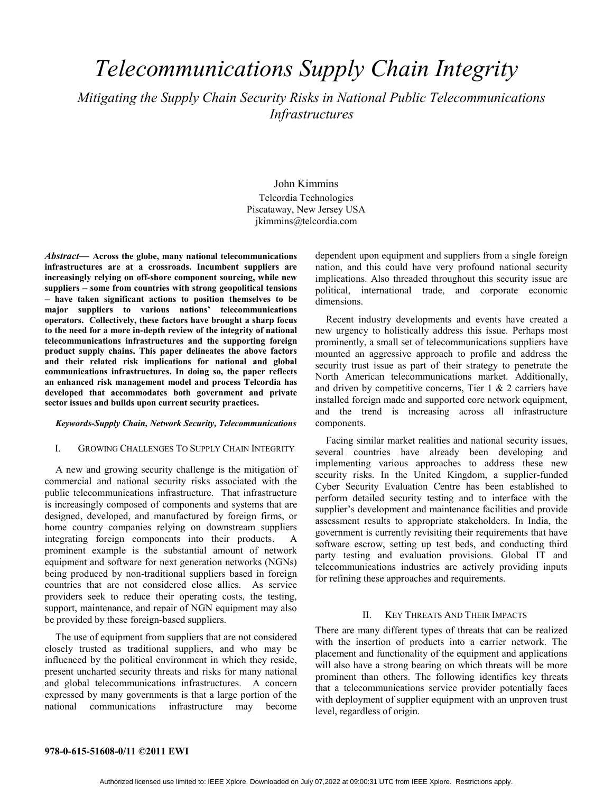# *Telecommunications Supply Chain Integrity*

*Mitigating the Supply Chain Security Risks in National Public Telecommunications Infrastructures*

> John Kimmins Telcordia Technologies Piscataway, New Jersey USA jkimmins@telcordia.com

*Abstract***— Across the globe, many national telecommunications infrastructures are at a crossroads. Incumbent suppliers are increasingly relying on off-shore component sourcing, while new suppliers some from countries with strong geopolitical tensions have taken significant actions to position themselves to be major suppliers to various nations' telecommunications operators. Collectively, these factors have brought a sharp focus to the need for a more in-depth review of the integrity of national telecommunications infrastructures and the supporting foreign product supply chains. This paper delineates the above factors and their related risk implications for national and global communications infrastructures. In doing so, the paper reflects an enhanced risk management model and process Telcordia has developed that accommodates both government and private sector issues and builds upon current security practices.**

#### *Keywords-Supply Chain, Network Security, Telecommunications*

#### I. GROWING CHALLENGES TO SUPPLY CHAIN INTEGRITY

A new and growing security challenge is the mitigation of commercial and national security risks associated with the public telecommunications infrastructure. That infrastructure is increasingly composed of components and systems that are designed, developed, and manufactured by foreign firms, or home country companies relying on downstream suppliers integrating foreign components into their products. A prominent example is the substantial amount of network equipment and software for next generation networks (NGNs) being produced by non-traditional suppliers based in foreign countries that are not considered close allies. As service providers seek to reduce their operating costs, the testing, support, maintenance, and repair of NGN equipment may also be provided by these foreign-based suppliers.

The use of equipment from suppliers that are not considered closely trusted as traditional suppliers, and who may be influenced by the political environment in which they reside, present uncharted security threats and risks for many national and global telecommunications infrastructures. A concern expressed by many governments is that a large portion of the national communications infrastructure may become

dependent upon equipment and suppliers from a single foreign nation, and this could have very profound national security implications. Also threaded throughout this security issue are political, international trade, and corporate economic dimensions.

Recent industry developments and events have created a new urgency to holistically address this issue. Perhaps most prominently, a small set of telecommunications suppliers have mounted an aggressive approach to profile and address the security trust issue as part of their strategy to penetrate the North American telecommunications market. Additionally, and driven by competitive concerns, Tier 1 & 2 carriers have installed foreign made and supported core network equipment, and the trend is increasing across all infrastructure components.

Facing similar market realities and national security issues, several countries have already been developing and implementing various approaches to address these new security risks. In the United Kingdom, a supplier-funded Cyber Security Evaluation Centre has been established to perform detailed security testing and to interface with the supplier's development and maintenance facilities and provide assessment results to appropriate stakeholders. In India, the government is currently revisiting their requirements that have software escrow, setting up test beds, and conducting third party testing and evaluation provisions. Global IT and telecommunications industries are actively providing inputs for refining these approaches and requirements.

#### II. KEY THREATS AND THEIR IMPACTS

There are many different types of threats that can be realized with the insertion of products into a carrier network. The placement and functionality of the equipment and applications will also have a strong bearing on which threats will be more prominent than others. The following identifies key threats that a telecommunications service provider potentially faces with deployment of supplier equipment with an unproven trust level, regardless of origin.

#### **978-0-615-51608-0/11 ©2011 EWI**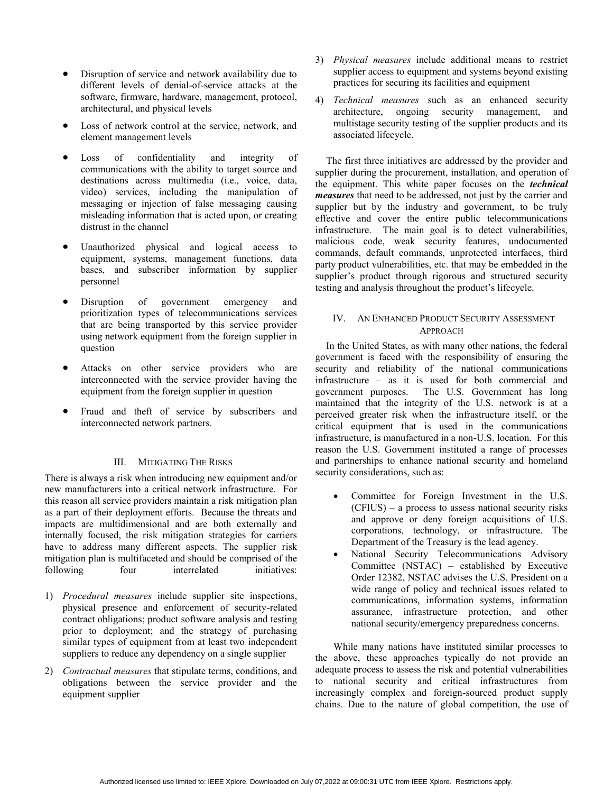- Disruption of service and network availability due to different levels of denial-of-service attacks at the software, firmware, hardware, management, protocol, architectural, and physical levels
- Loss of network control at the service, network, and element management levels
- Loss of confidentiality and integrity of communications with the ability to target source and destinations across multimedia (i.e., voice, data, video) services, including the manipulation of messaging or injection of false messaging causing misleading information that is acted upon, or creating distrust in the channel
- Unauthorized physical and logical access to equipment, systems, management functions, data bases, and subscriber information by supplier personnel
- Disruption of government emergency and prioritization types of telecommunications services that are being transported by this service provider using network equipment from the foreign supplier in question
- Attacks on other service providers who are interconnected with the service provider having the equipment from the foreign supplier in question
- Fraud and theft of service by subscribers and interconnected network partners.

## III. MITIGATING THE RISKS

There is always a risk when introducing new equipment and/or new manufacturers into a critical network infrastructure. For this reason all service providers maintain a risk mitigation plan as a part of their deployment efforts. Because the threats and impacts are multidimensional and are both externally and internally focused, the risk mitigation strategies for carriers have to address many different aspects. The supplier risk mitigation plan is multifaceted and should be comprised of the following four interrelated initiatives:

- 1) *Procedural measures* include supplier site inspections, physical presence and enforcement of security-related contract obligations; product software analysis and testing prior to deployment; and the strategy of purchasing similar types of equipment from at least two independent suppliers to reduce any dependency on a single supplier
- 2) *Contractual measures* that stipulate terms, conditions, and obligations between the service provider and the equipment supplier
- 3) *Physical measures* include additional means to restrict supplier access to equipment and systems beyond existing practices for securing its facilities and equipment
- 4) *Technical measures* such as an enhanced security architecture, ongoing security management, and multistage security testing of the supplier products and its associated lifecycle.

The first three initiatives are addressed by the provider and supplier during the procurement, installation, and operation of the equipment. This white paper focuses on the *technical measures* that need to be addressed, not just by the carrier and supplier but by the industry and government, to be truly effective and cover the entire public telecommunications infrastructure. The main goal is to detect vulnerabilities, malicious code, weak security features, undocumented commands, default commands, unprotected interfaces, third party product vulnerabilities, etc. that may be embedded in the supplier's product through rigorous and structured security testing and analysis throughout the product's lifecycle.

# IV. AN ENHANCED PRODUCT SECURITY ASSESSMENT APPROACH

In the United States, as with many other nations, the federal government is faced with the responsibility of ensuring the security and reliability of the national communications infrastructure – as it is used for both commercial and government purposes. The U.S. Government has long maintained that the integrity of the U.S. network is at a perceived greater risk when the infrastructure itself, or the critical equipment that is used in the communications infrastructure, is manufactured in a non-U.S. location. For this reason the U.S. Government instituted a range of processes and partnerships to enhance national security and homeland security considerations, such as:

- Committee for Foreign Investment in the U.S. (CFIUS) – a process to assess national security risks and approve or deny foreign acquisitions of U.S. corporations, technology, or infrastructure. The Department of the Treasury is the lead agency.
- National Security Telecommunications Advisory Committee (NSTAC) – established by Executive Order 12382, NSTAC advises the U.S. President on a wide range of policy and technical issues related to communications, information systems, information assurance, infrastructure protection, and other national security/emergency preparedness concerns.

While many nations have instituted similar processes to the above, these approaches typically do not provide an adequate process to assess the risk and potential vulnerabilities to national security and critical infrastructures from increasingly complex and foreign-sourced product supply chains. Due to the nature of global competition, the use of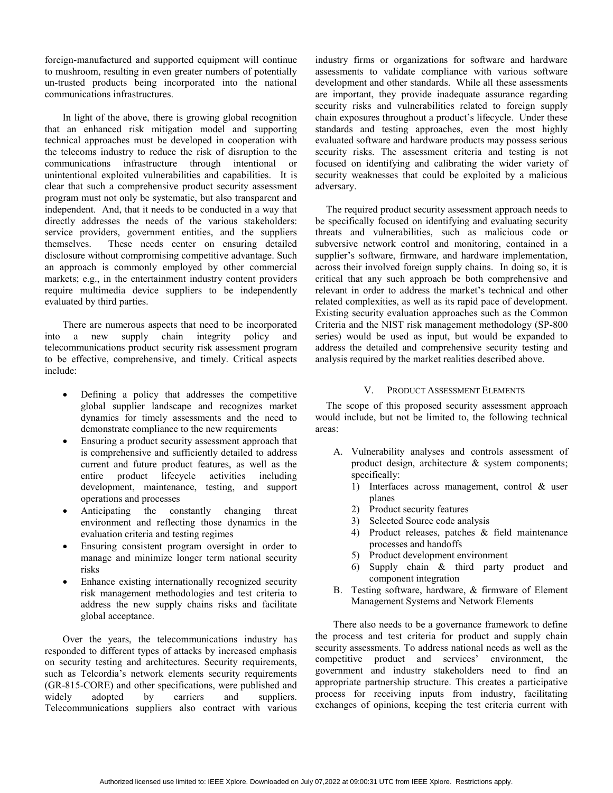foreign-manufactured and supported equipment will continue to mushroom, resulting in even greater numbers of potentially un-trusted products being incorporated into the national communications infrastructures.

In light of the above, there is growing global recognition that an enhanced risk mitigation model and supporting technical approaches must be developed in cooperation with the telecoms industry to reduce the risk of disruption to the communications infrastructure through intentional or unintentional exploited vulnerabilities and capabilities.It is clear that such a comprehensive product security assessment program must not only be systematic, but also transparent and independent. And, that it needs to be conducted in a way that directly addresses the needs of the various stakeholders: service providers, government entities, and the suppliers themselves. These needs center on ensuring detailed disclosure without compromising competitive advantage. Such an approach is commonly employed by other commercial markets; e.g., in the entertainment industry content providers require multimedia device suppliers to be independently evaluated by third parties.

There are numerous aspects that need to be incorporated into a new supply chain integrity policy and telecommunications product security risk assessment program to be effective, comprehensive, and timely. Critical aspects include:

- Defining a policy that addresses the competitive global supplier landscape and recognizes market dynamics for timely assessments and the need to demonstrate compliance to the new requirements
- Ensuring a product security assessment approach that is comprehensive and sufficiently detailed to address current and future product features, as well as the entire product lifecycle activities including development, maintenance, testing, and support operations and processes
- Anticipating the constantly changing threat environment and reflecting those dynamics in the evaluation criteria and testing regimes
- Ensuring consistent program oversight in order to manage and minimize longer term national security risks
- Enhance existing internationally recognized security risk management methodologies and test criteria to address the new supply chains risks and facilitate global acceptance.

Over the years, the telecommunications industry has responded to different types of attacks by increased emphasis on security testing and architectures. Security requirements, such as Telcordia's network elements security requirements (GR-815-CORE) and other specifications, were published and widely adopted by carriers and suppliers. Telecommunications suppliers also contract with various industry firms or organizations for software and hardware assessments to validate compliance with various software development and other standards. While all these assessments are important, they provide inadequate assurance regarding security risks and vulnerabilities related to foreign supply chain exposures throughout a product's lifecycle. Under these standards and testing approaches, even the most highly evaluated software and hardware products may possess serious security risks. The assessment criteria and testing is not focused on identifying and calibrating the wider variety of security weaknesses that could be exploited by a malicious adversary.

The required product security assessment approach needs to be specifically focused on identifying and evaluating security threats and vulnerabilities, such as malicious code or subversive network control and monitoring, contained in a supplier's software, firmware, and hardware implementation, across their involved foreign supply chains. In doing so, it is critical that any such approach be both comprehensive and relevant in order to address the market's technical and other related complexities, as well as its rapid pace of development. Existing security evaluation approaches such as the Common Criteria and the NIST risk management methodology (SP-800 series) would be used as input, but would be expanded to address the detailed and comprehensive security testing and analysis required by the market realities described above.

## V. PRODUCT ASSESSMENT ELEMENTS

The scope of this proposed security assessment approach would include, but not be limited to, the following technical areas:

- A. Vulnerability analyses and controls assessment of product design, architecture & system components; specifically:
	- 1) Interfaces across management, control & user planes
	- 2) Product security features
	- 3) Selected Source code analysis
	- 4) Product releases, patches & field maintenance processes and handoffs
	- 5) Product development environment
	- 6) Supply chain & third party product and component integration
- B. Testing software, hardware, & firmware of Element Management Systems and Network Elements

There also needs to be a governance framework to define the process and test criteria for product and supply chain security assessments. To address national needs as well as the competitive product and services' environment, the government and industry stakeholders need to find an appropriate partnership structure. This creates a participative process for receiving inputs from industry, facilitating exchanges of opinions, keeping the test criteria current with